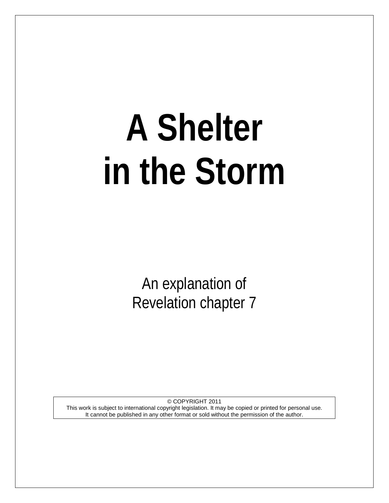# **A Shelter in the Storm**

An explanation of Revelation chapter 7

© COPYRIGHT 2011 This work is subject to international copyright legislation. It may be copied or printed for personal use. It cannot be published in any other format or sold without the permission of the author.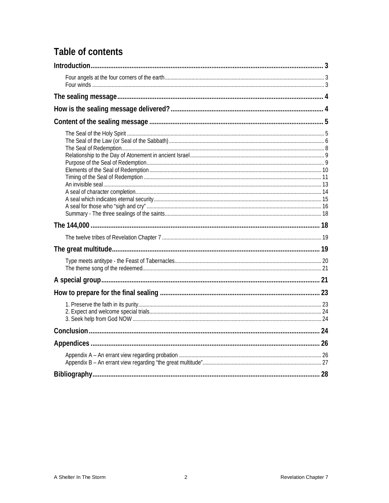# Table of contents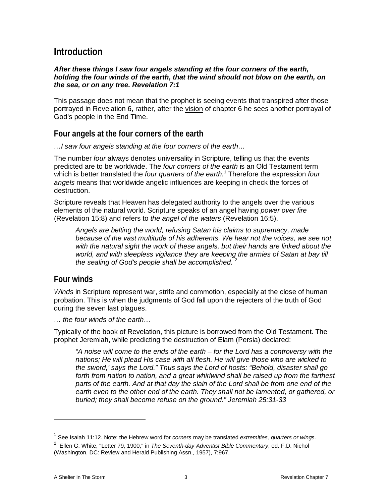# <span id="page-2-0"></span>**Introduction**

### *After these things I saw four angels standing at the four corners of the earth, holding the four winds of the earth, that the wind should not blow on the earth, on the sea, or on any tree. Revelation 7:1*

This passage does not mean that the prophet is seeing events that transpired after those portrayed in Revelation 6, rather, after the vision of chapter 6 he sees another portrayal of God's people in the End Time.

# <span id="page-2-1"></span>**Four angels at the four corners of the earth**

*…I saw four angels standing at the four corners of the earth…*

The number *four* always denotes universality in Scripture, telling us that the events predicted are to be worldwide. The *four corners of the earth* is an Old Testament term which is better translated the *four quarters of the earth.*[1](#page-2-3) Therefore the expression *four angels* means that worldwide angelic influences are keeping in check the forces of destruction.

Scripture reveals that Heaven has delegated authority to the angels over the various elements of the natural world. Scripture speaks of an angel having *power over fire* (Revelation 15:8) and refers to *the angel of the waters* (Revelation 16:5).

*Angels are belting the world, refusing Satan his claims to supremacy, made because of the vast multitude of his adherents. We hear not the voices, we see not with the natural sight the work of these angels, but their hands are linked about the world, and with sleepless vigilance they are keeping the armies of Satan at bay till the sealing of God's people shall be accomplished.* [2](#page-2-4)

# <span id="page-2-2"></span>**Four winds**

*Winds* in Scripture represent war, strife and commotion, especially at the close of human probation. This is when the judgments of God fall upon the rejecters of the truth of God during the seven last plagues.

*… the four winds of the earth…*

Typically of the book of Revelation, this picture is borrowed from the Old Testament. The prophet Jeremiah, while predicting the destruction of Elam (Persia) declared:

*"A noise will come to the ends of the earth – for the Lord has a controversy with the nations; He will plead His case with all flesh. He will give those who are wicked to the sword,' says the Lord." Thus says the Lord of hosts: "Behold, disaster shall go forth from nation to nation, and a great whirlwind shall be raised up from the farthest parts of the earth. And at that day the slain of the Lord shall be from one end of the*  earth even to the other end of the earth. They shall not be lamented, or gathered, or *buried; they shall become refuse on the ground." Jeremiah 25:31-33*

<span id="page-2-3"></span><sup>1</sup> See Isaiah 11:12. Note: the Hebrew word for *corners* may be translated *extremities, quarters or wings.*

<span id="page-2-4"></span><sup>2</sup> Ellen G. White, "Letter 79, 1900," in *The Seventh-day Adventist Bible Commentary*, ed. F.D. Nichol (Washington, DC: Review and Herald Publishing Assn., 1957), 7:967.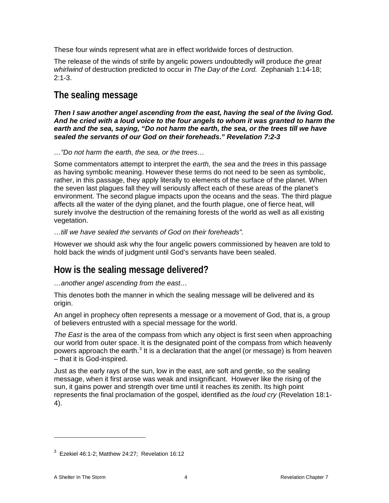These four winds represent what are in effect worldwide forces of destruction.

The release of the winds of strife by angelic powers undoubtedly will produce *the great whirlwind* of destruction predicted to occur in *The Day of the Lord.* Zephaniah 1:14-18;  $2.1 - 3$ .

# <span id="page-3-0"></span>**The sealing message**

*Then I saw another angel ascending from the east, having the seal of the living God. And he cried with a loud voice to the four angels to whom it was granted to harm the earth and the sea, saying, "Do not harm the earth, the sea, or the trees till we have sealed the servants of our God on their foreheads." Revelation 7:2-3* 

*…"Do not harm the earth, the sea, or the trees…*

Some commentators attempt to interpret the *earth,* the *sea* and the *trees* in this passage as having symbolic meaning. However these terms do not need to be seen as symbolic, rather, in this passage, they apply literally to elements of the surface of the planet. When the seven last plagues fall they will seriously affect each of these areas of the planet's environment. The second plague impacts upon the oceans and the seas. The third plague affects all the water of the dying planet, and the fourth plague, one of fierce heat, will surely involve the destruction of the remaining forests of the world as well as all existing vegetation.

*…till we have sealed the servants of God on their foreheads".*

However we should ask why the four angelic powers commissioned by heaven are told to hold back the winds of judgment until God's servants have been sealed.

# <span id="page-3-1"></span>**How is the sealing message delivered?**

*…another angel ascending from the east…*

This denotes both the manner in which the sealing message will be delivered and its origin.

An angel in prophecy often represents a message or a movement of God, that is, a group of believers entrusted with a special message for the world.

*The East* is the area of the compass from which any object is first seen when approaching our world from outer space. It is the designated point of the compass from which heavenly powers approach the earth.<sup>[3](#page-3-2)</sup> It is a declaration that the angel (or message) is from heaven – that it is God-inspired.

Just as the early rays of the sun, low in the east, are soft and gentle, so the sealing message, when it first arose was weak and insignificant. However like the rising of the sun, it gains power and strength over time until it reaches its zenith. Its high point represents the final proclamation of the gospel, identified as *the loud cry* (Revelation 18:1- 4).

<span id="page-3-2"></span><sup>3</sup> Ezekiel 46:1-2; Matthew 24:27; Revelation 16:12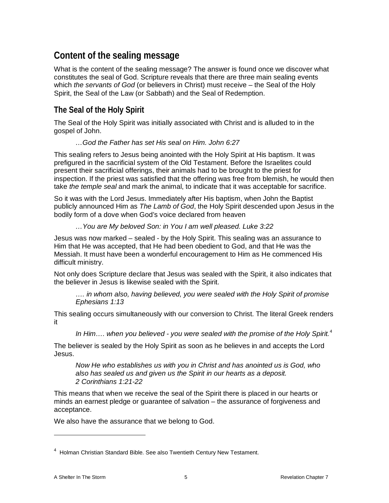# <span id="page-4-0"></span>**Content of the sealing message**

What is the content of the sealing message? The answer is found once we discover what constitutes the seal of God. Scripture reveals that there are three main sealing events which *the servants of God* (or believers in Christ) must receive – the Seal of the Holy Spirit, the Seal of the Law (or Sabbath) and the Seal of Redemption.

# <span id="page-4-1"></span>**The Seal of the Holy Spirit**

The Seal of the Holy Spirit was initially associated with Christ and is alluded to in the gospel of John.

### *…God the Father has set His seal on Him. John 6:27*

This sealing refers to Jesus being anointed with the Holy Spirit at His baptism. It was prefigured in the sacrificial system of the Old Testament. Before the Israelites could present their sacrificial offerings, their animals had to be brought to the priest for inspection. If the priest was satisfied that the offering was free from blemish, he would then take *the temple seal* and mark the animal, to indicate that it was acceptable for sacrifice.

So it was with the Lord Jesus. Immediately after His baptism, when John the Baptist publicly announced Him as *The Lamb of God*, the Holy Spirit descended upon Jesus in the bodily form of a dove when God's voice declared from heaven

*…You are My beloved Son: in You I am well pleased. Luke 3:22*

Jesus was now marked – sealed - by the Holy Spirit. This sealing was an assurance to Him that He was accepted, that He had been obedient to God, and that He was the Messiah. It must have been a wonderful encouragement to Him as He commenced His difficult ministry.

Not only does Scripture declare that Jesus was sealed with the Spirit, it also indicates that the believer in Jesus is likewise sealed with the Spirit.

*…. in whom also, having believed, you were sealed with the Holy Spirit of promise Ephesians 1:13*

This sealing occurs simultaneously with our conversion to Christ. The literal Greek renders it

*In Him…. when you believed - you were sealed with the promise of the Holy Spirit.* [4](#page-4-2)

The believer is sealed by the Holy Spirit as soon as he believes in and accepts the Lord Jesus.

*Now He who establishes us with you in Christ and has anointed us is God, who also has sealed us and given us the Spirit in our hearts as a deposit. 2 Corinthians 1:21-22*

This means that when we receive the seal of the Spirit there is placed in our hearts or minds an earnest pledge or guarantee of salvation – the assurance of forgiveness and acceptance.

We also have the assurance that we belong to God.

<span id="page-4-2"></span><sup>&</sup>lt;sup>4</sup> Holman Christian Standard Bible. See also Twentieth Century New Testament.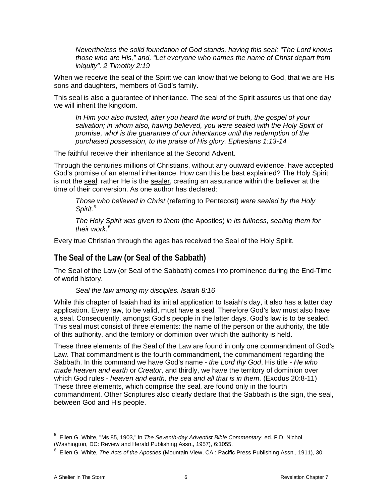*Nevertheless the solid foundation of God stands, having this seal: "The Lord knows those who are His," and, "Let everyone who names the name of Christ depart from iniquity". 2 Timothy 2:19*

When we receive the seal of the Spirit we can know that we belong to God, that we are His sons and daughters, members of God's family.

This seal is also a guarantee of inheritance. The seal of the Spirit assures us that one day we will inherit the kingdom.

*In Him you also trusted, after you heard the word of truth, the gospel of your salvation; in whom also, having believed, you were sealed with the Holy Spirit of promise, who] is the guarantee of our inheritance until the redemption of the purchased possession, to the praise of His glory. Ephesians 1:13-14*

The faithful receive their inheritance at the Second Advent.

Through the centuries millions of Christians, without any outward evidence, have accepted God's promise of an eternal inheritance. How can this be best explained? The Holy Spirit is not the seal; rather He is the sealer, creating an assurance within the believer at the time of their conversion. As one author has declared:

*Those who believed in Christ* (referring to Pentecost) *were sealed by the Holy Spirit.*[5](#page-5-1)

*The Holy Spirit was given to them* (the Apostles) *in its fullness, sealing them for their work.*[6](#page-5-2)

Every true Christian through the ages has received the Seal of the Holy Spirit.

# <span id="page-5-0"></span>**The Seal of the Law (or Seal of the Sabbath)**

The Seal of the Law (or Seal of the Sabbath) comes into prominence during the End-Time of world history.

*Seal the law among my disciples. Isaiah 8:16*

While this chapter of Isaiah had its initial application to Isaiah's day, it also has a latter day application. Every law, to be valid, must have a seal. Therefore God's law must also have a seal. Consequently, amongst God's people in the latter days, God's law is to be sealed. This seal must consist of three elements: the name of the person or the authority, the title of this authority, and the territory or dominion over which the authority is held.

These three elements of the Seal of the Law are found in only one commandment of God's Law. That commandment is the fourth commandment, the commandment regarding the Sabbath. In this command we have God's name - *the Lord thy God*, His title - *He who made heaven and earth* or *Creator*, and thirdly, we have the territory of dominion over which God rules - *heaven and earth, the sea and all that is in them.* (Exodus 20:8-11) These three elements, which comprise the seal, are found only in the fourth commandment. Other Scriptures also clearly declare that the Sabbath is the sign, the seal, between God and His people.

<span id="page-5-1"></span><sup>5</sup> Ellen G. White, "Ms 85, 1903," in *The Seventh-day Adventist Bible Commentary*, ed. F.D. Nichol (Washington, DC: Review and Herald Publishing Assn., 1957), 6:1055.

<span id="page-5-2"></span><sup>6</sup> Ellen G. White, *The Acts of the Apostles* (Mountain View, CA.: Pacific Press Publishing Assn., 1911), 30.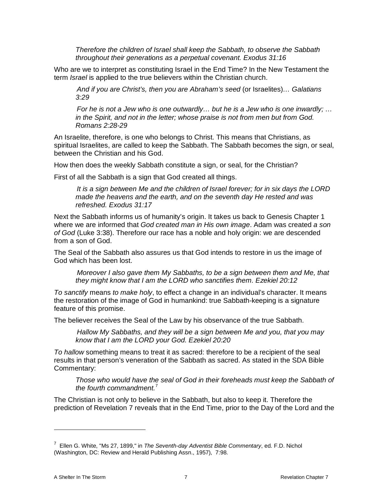*Therefore the children of Israel shall keep the Sabbath, to observe the Sabbath throughout their generations as a perpetual covenant. Exodus 31:16*

Who are we to interpret as constituting Israel in the End Time? In the New Testament the term *Israel* is applied to the true believers within the Christian church.

*And if you are Christ's, then you are Abraham's seed* (or Israelites)*… Galatians 3:29*

*For he is not a Jew who is one outwardly… but he is a Jew who is one inwardly; … in the Spirit, and not in the letter; whose praise is not from men but from God. Romans 2:28-29*

An Israelite, therefore, is one who belongs to Christ. This means that Christians, as spiritual Israelites, are called to keep the Sabbath. The Sabbath becomes the sign, or seal, between the Christian and his God.

How then does the weekly Sabbath constitute a sign, or seal, for the Christian?

First of all the Sabbath is a sign that God created all things.

*It is a sign between Me and the children of Israel forever; for in six days the LORD made the heavens and the earth, and on the seventh day He rested and was refreshed. Exodus 31:17*

Next the Sabbath informs us of humanity's origin. It takes us back to Genesis Chapter 1 where we are informed that *God created man in His own image*. Adam was created *a son of God* (Luke 3:38). Therefore our race has a noble and holy origin: we are descended from a son of God.

The Seal of the Sabbath also assures us that God intends to restore in us the image of God which has been lost.

*Moreover I also gave them My Sabbaths, to be a sign between them and Me, that they might know that I am the LORD who sanctifies them. Ezekiel 20:12*

*To sanctify* means *to make holy*, to effect a change in an individual's character. It means the restoration of the image of God in humankind: true Sabbath-keeping is a signature feature of this promise.

The believer receives the Seal of the Law by his observance of the true Sabbath.

*Hallow My Sabbaths, and they will be a sign between Me and you, that you may know that I am the LORD your God. Ezekiel 20:20*

*To hallow* something means to treat it as sacred: therefore to be a recipient of the seal results in that person's veneration of the Sabbath as sacred. As stated in the SDA Bible Commentary:

*Those who would have the seal of God in their foreheads must keep the Sabbath of the fourth commandment.*[7](#page-6-0)

The Christian is not only to believe in the Sabbath, but also to keep it. Therefore the prediction of Revelation 7 reveals that in the End Time, prior to the Day of the Lord and the

<span id="page-6-0"></span><sup>7</sup> Ellen G. White, "Ms 27, 1899," in *The Seventh-day Adventist Bible Commentary*, ed. F.D. Nichol (Washington, DC: Review and Herald Publishing Assn., 1957), 7:98.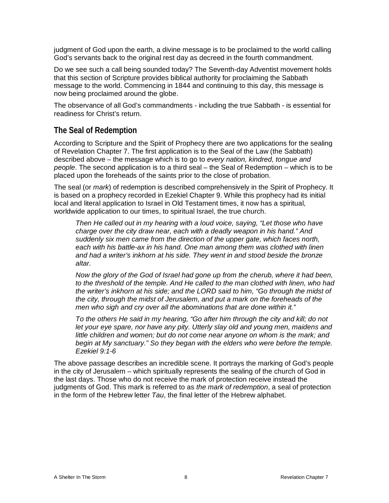judgment of God upon the earth, a divine message is to be proclaimed to the world calling God's servants back to the original rest day as decreed in the fourth commandment.

Do we see such a call being sounded today? The Seventh-day Adventist movement holds that this section of Scripture provides biblical authority for proclaiming the Sabbath message to the world. Commencing in 1844 and continuing to this day, this message is now being proclaimed around the globe.

The observance of all God's commandments - including the true Sabbath - is essential for readiness for Christ's return.

# <span id="page-7-0"></span>**The Seal of Redemption**

According to Scripture and the Spirit of Prophecy there are two applications for the sealing of Revelation Chapter 7. The first application is to the Seal of the Law (the Sabbath) described above – the message which is to go to *every nation, kindred, tongue and people*. The second application is to a third seal – the Seal of Redemption – which is to be placed upon the foreheads of the saints prior to the close of probation.

The seal (or *mark*) of redemption is described comprehensively in the Spirit of Prophecy. It is based on a prophecy recorded in Ezekiel Chapter 9. While this prophecy had its initial local and literal application to Israel in Old Testament times, it now has a spiritual, worldwide application to our times, to spiritual Israel, the true church.

*Then He called out in my hearing with a loud voice, saying, "Let those who have charge over the city draw near, each with a deadly weapon in his hand." And suddenly six men came from the direction of the upper gate, which faces north, each with his battle-ax in his hand. One man among them was clothed with linen and had a writer's inkhorn at his side. They went in and stood beside the bronze altar.*

*Now the glory of the God of Israel had gone up from the cherub, where it had been, to the threshold of the temple. And He called to the man clothed with linen, who had the writer's inkhorn at his side; and the LORD said to him, "Go through the midst of the city, through the midst of Jerusalem, and put a mark on the foreheads of the men who sigh and cry over all the abominations that are done within it."*

*To the others He said in my hearing, "Go after him through the city and kill; do not let your eye spare, nor have any pity. Utterly slay old and young men, maidens and little children and women; but do not come near anyone on whom is the mark; and begin at My sanctuary." So they began with the elders who were before the temple. Ezekiel 9:1-6* 

The above passage describes an incredible scene. It portrays the marking of God's people in the city of Jerusalem – which spiritually represents the sealing of the church of God in the last days. Those who do not receive the mark of protection receive instead the judgments of God. This mark is referred to as *the mark of redemption*, a seal of protection in the form of the Hebrew letter *Tau*, the final letter of the Hebrew alphabet.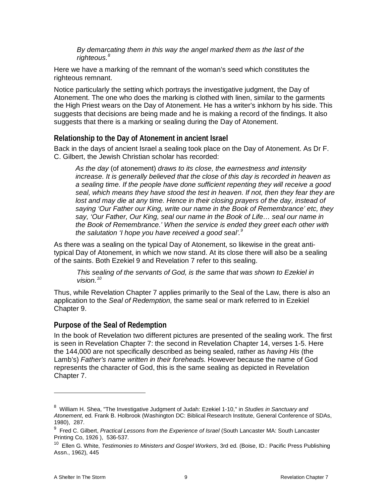*By demarcating them in this way the angel marked them as the last of the righteous.[8](#page-8-2)* 

Here we have a marking of the remnant of the woman's seed which constitutes the righteous remnant.

Notice particularly the setting which portrays the investigative judgment, the Day of Atonement. The one who does the marking is clothed with linen, similar to the garments the High Priest wears on the Day of Atonement. He has a writer's inkhorn by his side. This suggests that decisions are being made and he is making a record of the findings. It also suggests that there is a marking or sealing during the Day of Atonement.

# <span id="page-8-0"></span>**Relationship to the Day of Atonement in ancient Israel**

Back in the days of ancient Israel a sealing took place on the Day of Atonement. As Dr F. C. Gilbert, the Jewish Christian scholar has recorded:

*As the day* (of atonement) *draws to its close, the earnestness and intensity increase. It is generally believed that the close of this day is recorded in heaven as a sealing time. If the people have done sufficient repenting they will receive a good seal, which means they have stood the test in heaven. If not, then they fear they are lost and may die at any time. Hence in their closing prayers of the day, instead of saying 'Our Father our King, write our name in the Book of Remembrance' etc, they say, 'Our Father, Our King, seal our name in the Book of Life… seal our name in the Book of Remembrance.' When the service is ended they greet each other with the salutation 'I hope you have received a good seal'.[9](#page-8-3)*

As there was a sealing on the typical Day of Atonement, so likewise in the great antitypical Day of Atonement, in which we now stand. At its close there will also be a sealing of the saints. Both Ezekiel 9 and Revelation 7 refer to this sealing.

*This sealing of the servants of God, is the same that was shown to Ezekiel in vision.[10](#page-8-4)*

Thus, while Revelation Chapter 7 applies primarily to the Seal of the Law, there is also an application to the *Seal of Redemption,* the same seal or mark referred to in Ezekiel Chapter 9.

### <span id="page-8-1"></span>**Purpose of the Seal of Redemption**

In the book of Revelation two different pictures are presented of the sealing work. The first is seen in Revelation Chapter 7: the second in Revelation Chapter 14, verses 1-5. Here the 144,000 are not specifically described as being sealed, rather as *having His* (the Lamb's) *Father's name written in their foreheads.* However because the name of God represents the character of God, this is the same sealing as depicted in Revelation Chapter 7.

<span id="page-8-2"></span><sup>8</sup> William H. Shea, "The Investigative Judgment of Judah: Ezekiel 1-10," in *Studies in Sanctuary and Atonement*, ed. Frank B. Holbrook (Washington DC: Biblical Research Institute, General Conference of SDAs, 1980), 287.

<span id="page-8-3"></span><sup>&</sup>lt;sup>9</sup> Fred C. Gilbert, *Practical Lessons from the Experience of Israel* (South Lancaster MA: South Lancaster Printing Co, 1926 ), 536-537.

<span id="page-8-4"></span><sup>10</sup> Ellen G. White, *Testimonies to Ministers and Gospel Workers*, 3rd ed. (Boise, ID.: Pacific Press Publishing Assn., 1962), 445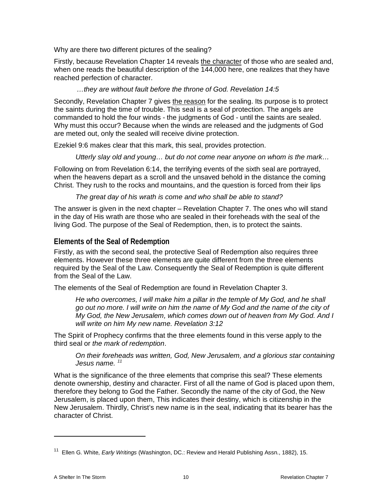Why are there two different pictures of the sealing?

Firstly, because Revelation Chapter 14 reveals the character of those who are sealed and, when one reads the beautiful description of the 144,000 here, one realizes that they have reached perfection of character.

### *…they are without fault before the throne of God. Revelation 14:5*

Secondly, Revelation Chapter 7 gives the reason for the sealing. Its purpose is to protect the saints during the time of trouble. This seal is a seal of protection. The angels are commanded to hold the four winds - the judgments of God - until the saints are sealed. Why must this occur? Because when the winds are released and the judgments of God are meted out, only the sealed will receive divine protection.

Ezekiel 9:6 makes clear that this mark, this seal, provides protection.

*Utterly slay old and young… but do not come near anyone on whom is the mark…*

Following on from Revelation 6:14, the terrifying events of the sixth seal are portrayed, when the heavens depart as a scroll and the unsaved behold in the distance the coming Christ. They rush to the rocks and mountains, and the question is forced from their lips

*The great day of his wrath is come and who shall be able to stand?*

The answer is given in the next chapter – Revelation Chapter 7. The ones who will stand in the day of His wrath are those who are sealed in their foreheads with the seal of the living God. The purpose of the Seal of Redemption, then, is to protect the saints.

# <span id="page-9-0"></span>**Elements of the Seal of Redemption**

Firstly, as with the second seal, the protective Seal of Redemption also requires three elements. However these three elements are quite different from the three elements required by the Seal of the Law. Consequently the Seal of Redemption is quite different from the Seal of the Law.

The elements of the Seal of Redemption are found in Revelation Chapter 3.

*He who overcomes, I will make him a pillar in the temple of My God, and he shall go out no more. I will write on him the name of My God and the name of the city of My God, the New Jerusalem, which comes down out of heaven from My God. And I will write on him My new name. Revelation 3:12*

The Spirit of Prophecy confirms that the three elements found in this verse apply to the third seal or *the mark of redemption*.

*On their foreheads was written, God, New Jerusalem, and a glorious star containing Jesus name. [11](#page-9-1)*

What is the significance of the three elements that comprise this seal? These elements denote ownership, destiny and character. First of all the name of God is placed upon them, therefore they belong to God the Father. Secondly the name of the city of God, the New Jerusalem, is placed upon them, This indicates their destiny, which is citizenship in the New Jerusalem. Thirdly, Christ's new name is in the seal, indicating that its bearer has the character of Christ.

<span id="page-9-1"></span><sup>11</sup> Ellen G. White, *Early Writings* (Washington, DC.: Review and Herald Publishing Assn., 1882), 15.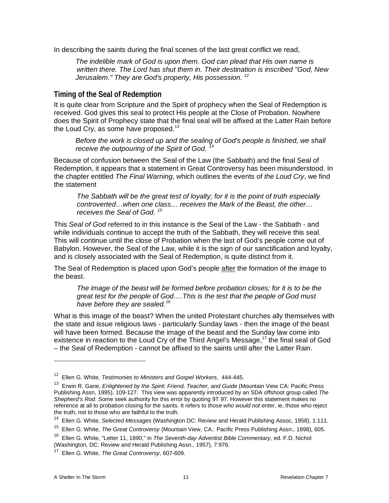In describing the saints during the final scenes of the last great conflict we read,

*The indelible mark of God is upon them. God can plead that His own name is written there. The Lord has shut them in. Their destination is inscribed "God, New Jerusalem." They are God's property, His possession. [12](#page-10-1)*

### <span id="page-10-0"></span>**Timing of the Seal of Redemption**

It is quite clear from Scripture and the Spirit of prophecy when the Seal of Redemption is received. God gives this seal to protect His people at the Close of Probation. Nowhere does the Spirit of Prophecy state that the final seal will be affixed at the Latter Rain before the Loud Cry, as some have proposed.<sup>[13](#page-10-2)</sup>

*Before the work is closed up and the sealing of God's people is finished, we shall receive the outpouring of the Spirit of God. [14](#page-10-3)*

Because of confusion between the Seal of the Law (the Sabbath) and the final Seal of Redemption, it appears that a statement in Great Controversy has been misunderstood. In the chapter entitled *The Final Warning*, which outlines the events of *the Loud Cry*, we find the statement

*The Sabbath will be the great test of loyalty; for it is the point of truth especially controverted…when one class… receives the Mark of the Beast, the other… receives the Seal of God. [15](#page-10-4)*

This *Seal of God* referred to in this instance is the Seal of the Law - the Sabbath - and while individuals continue to accept the truth of the Sabbath, they will receive this seal. This will continue until the close of Probation when the last of God's people come out of Babylon. However, the Seal of the Law, while it is the sign of our sanctification and loyalty, and is closely associated with the Seal of Redemption, is quite distinct from it.

The Seal of Redemption is placed upon God's people after the formation of the image to the beast.

*The image of the beast will be formed before probation closes; for it is to be the great test for the people of God….This is the test that the people of God must have before they are sealed.[16](#page-10-5)*

What is this image of the beast? When the united Protestant churches ally themselves with the state and issue religious laws - particularly Sunday laws - then the image of the beast will have been formed. Because the image of the beast and the Sunday law come into existence in reaction to the Loud Cry of the Third Angel's Message,<sup>[17](#page-10-6)</sup> the final seal of God – the Seal of Redemption - cannot be affixed to the saints until after the Latter Rain.

(Washington, DC: Review and Herald Publishing Assn., 1957), 7:976.

<sup>12</sup> Ellen G. White, *Testimonies to Ministers and Gospel Workers*, 444-445.

<span id="page-10-2"></span><span id="page-10-1"></span><sup>13</sup> Erwin R. Gane, *Enlightened by the Spirit: Friend, Teacher, and Guide* (Mountain View CA: Pacific Press Publishing Assn, 1995), 109-127. This view was apparently introduced by an SDA offshoot group called *The Shepherd's Rod*. Some seek authority for this error by quoting 9T 97. However this statement makes no reference at all to probation closing for the saints. It refers to *those who would not enter*, ie, those who reject the truth, not to those who are faithful to the truth.<br><sup>14</sup> Ellen G. White, Selected Messages (Washington)

<sup>14</sup> Ellen G. White, *Selected Messages* (Washington DC: Review and Herald Publishing Assoc, 1958), 1:111.

<span id="page-10-4"></span><span id="page-10-3"></span><sup>15</sup> Ellen G. White, *The Great Controversy* (Mountain View, CA.: Pacific Press Publishing Assn., 1898), 605.

<span id="page-10-5"></span><sup>16</sup> Ellen G. White, "Letter 11, 1890," in *The Seventh-day Adventist Bible Commentary*, ed. F.D. Nichol

<span id="page-10-6"></span><sup>17</sup> Ellen G. White, *The Great Controversy*, 607-609.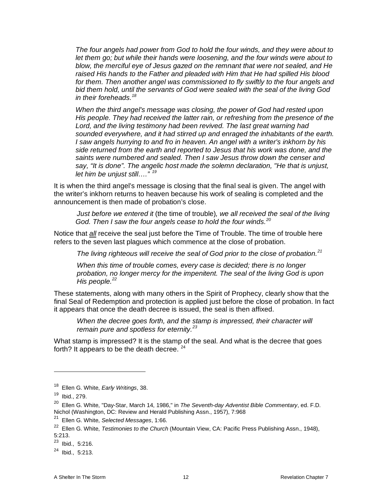*The four angels had power from God to hold the four winds, and they were about to let them go; but while their hands were loosening, and the four winds were about to blow, the merciful eye of Jesus gazed on the remnant that were not sealed, and He raised His hands to the Father and pleaded with Him that He had spilled His blood for them. Then another angel was commissioned to fly swiftly to the four angels and bid them hold, until the servants of God were sealed with the seal of the living God in their foreheads.[18](#page-11-0)*

*When the third angel's message was closing, the power of God had rested upon His people. They had received the latter rain, or refreshing from the presence of the Lord, and the living testimony had been revived. The last great warning had sounded everywhere, and it had stirred up and enraged the inhabitants of the earth. I saw angels hurrying to and fro in heaven. An angel with a writer's inkhorn by his side returned from the earth and reported to Jesus that his work was done, and the saints were numbered and sealed. Then I saw Jesus throw down the censer and say, "It is done". The angelic host made the solemn declaration, "He that is unjust, let him be unjust still…." [19](#page-11-1)*

It is when the third angel's message is closing that the final seal is given. The angel with the writer's inkhorn returns to heaven because his work of sealing is completed and the announcement is then made of probation's close.

*Just before we entered it* (the time of trouble)*, we all received the seal of the living God. Then I saw the four angels cease to hold the four winds.[20](#page-11-2)*

Notice that *all* receive the seal just before the Time of Trouble. The time of trouble here refers to the seven last plagues which commence at the close of probation.

*The living righteous will receive the seal of God prior to the close of probation.[21](#page-11-3)*

*When this time of trouble comes, every case is decided; there is no longer probation, no longer mercy for the impenitent. The seal of the living God is upon His people.[22](#page-11-4)*

These statements, along with many others in the Spirit of Prophecy, clearly show that the final Seal of Redemption and protection is applied just before the close of probation. In fact it appears that once the death decree is issued, the seal is then affixed.

*When the decree goes forth, and the stamp is impressed, their character will remain pure and spotless for eternity.[23](#page-11-5)*

What stamp is impressed? It is the stamp of the seal. And what is the decree that goes forth? It appears to be the death decree.  $24$ 

<span id="page-11-0"></span><sup>18</sup> Ellen G. White, *Early Writings*, 38.

<span id="page-11-1"></span><sup>19</sup> Ibid., 279.

<span id="page-11-2"></span><sup>20</sup> Ellen G. White, "Day-Star, March 14, 1986," in *The Seventh-day Adventist Bible Commentary*, ed. F.D. Nichol (Washington, DC: Review and Herald Publishing Assn., 1957), 7:968

<sup>21</sup> Ellen G. White, *Selected Messages*, 1:66.

<span id="page-11-4"></span><span id="page-11-3"></span><sup>22</sup> Ellen G. White, *Testimonies to the Church* (Mountain View, CA: Pacific Press Publishing Assn., 1948), 5:213.

<span id="page-11-5"></span> $23$  Ibid., 5:216.

<span id="page-11-6"></span> $24$  Ibid., 5:213.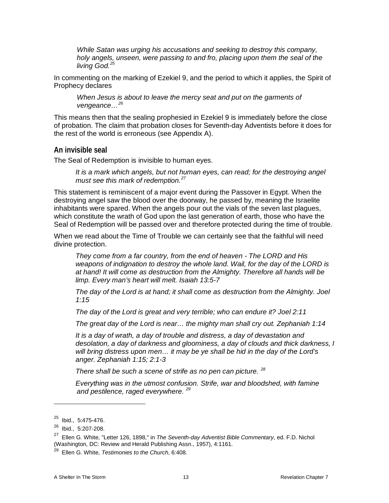*While Satan was urging his accusations and seeking to destroy this company, holy angels, unseen, were passing to and fro, placing upon them the seal of the living God.[25](#page-12-1)*

In commenting on the marking of Ezekiel 9, and the period to which it applies, the Spirit of Prophecy declares

*When Jesus is about to leave the mercy seat and put on the garments of vengeance…[26](#page-12-2)*

This means then that the sealing prophesied in Ezekiel 9 is immediately before the close of probation. The claim that probation closes for Seventh-day Adventists before it does for the rest of the world is erroneous (see Appendix A).

### <span id="page-12-0"></span>**An invisible seal**

The Seal of Redemption is invisible to human eyes.

*It is a mark which angels, but not human eyes, can read; for the destroying angel must see this mark of redemption.[27](#page-12-3)*

This statement is reminiscent of a major event during the Passover in Egypt. When the destroying angel saw the blood over the doorway, he passed by, meaning the Israelite inhabitants were spared. When the angels pour out the vials of the seven last plagues, which constitute the wrath of God upon the last generation of earth, those who have the Seal of Redemption will be passed over and therefore protected during the time of trouble.

When we read about the Time of Trouble we can certainly see that the faithful will need divine protection.

*They come from a far country, from the end of heaven - The LORD and His weapons of indignation to destroy the whole land. Wail, for the day of the LORD is at hand! It will come as destruction from the Almighty. Therefore all hands will be limp. Every man's heart will melt. Isaiah 13:5-7*

*The day of the Lord is at hand; it shall come as destruction from the Almighty. Joel 1:15*

*The day of the Lord is great and very terrible; who can endure it? Joel 2:11*

*The great day of the Lord is near… the mighty man shall cry out. Zephaniah 1:14*

*It is a day of wrath, a day of trouble and distress, a day of devastation and desolation, a day of darkness and gloominess, a day of clouds and thick darkness, I will bring distress upon men… it may be ye shall be hid in the day of the Lord's anger. Zephaniah 1:15; 2:1-3*

*There shall be such a scene of strife as no pen can picture. [28](#page-12-4)*

*Everything was in the utmost confusion. Strife, war and bloodshed, with famine and pestilence, raged everywhere. [29](#page-12-1)*

<span id="page-12-1"></span><sup>25</sup> Ibid., 5:475-476.

<span id="page-12-2"></span><sup>26</sup> Ibid., 5:207-208.

<span id="page-12-3"></span><sup>27</sup> Ellen G. White, "Letter 126, 1898," in *The Seventh-day Adventist Bible Commentary*, ed. F.D. Nichol (Washington, DC: Review and Herald Publishing Assn., 1957), 4:1161.

<span id="page-12-4"></span><sup>28</sup> Ellen G. White, *Testimonies to the Church*, 6:408.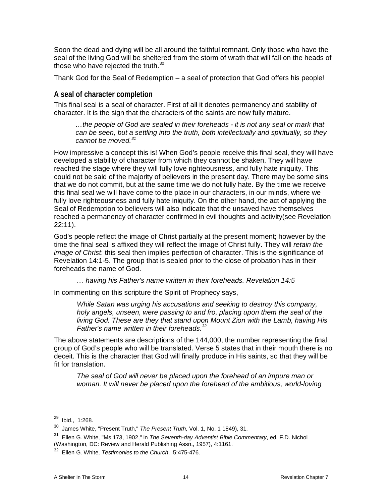Soon the dead and dying will be all around the faithful remnant. Only those who have the seal of the living God will be sheltered from the storm of wrath that will fall on the heads of those who have rejected the truth.<sup>[30](#page-13-1)</sup>

Thank God for the Seal of Redemption – a seal of protection that God offers his people!

### <span id="page-13-0"></span>**A seal of character completion**

This final seal is a seal of character. First of all it denotes permanency and stability of character. It is the sign that the characters of the saints are now fully mature.

*…the people of God are sealed in their foreheads - it is not any seal or mark that can be seen, but a settling into the truth, both intellectually and spiritually, so they cannot be moved.[31](#page-13-2)*

How impressive a concept this is! When God's people receive this final seal, they will have developed a stability of character from which they cannot be shaken. They will have reached the stage where they will fully love righteousness, and fully hate iniquity. This could not be said of the majority of believers in the present day. There may be some sins that we do not commit, but at the same time we do not fully hate. By the time we receive this final seal we will have come to the place in our characters, in our minds, where we fully love righteousness and fully hate iniquity. On the other hand, the act of applying the Seal of Redemption to believers will also indicate that the unsaved have themselves reached a permanency of character confirmed in evil thoughts and activity(see Revelation 22:11).

God's people reflect the image of Christ partially at the present moment; however by the time the final seal is affixed they will reflect the image of Christ fully. They will *retain the image of Christ*: this seal then implies perfection of character. This is the significance of Revelation 14:1-5. The group that is sealed prior to the close of probation has in their foreheads the name of God.

*… having his Father's name written in their foreheads. Revelation 14:5*

In commenting on this scripture the Spirit of Prophecy says,

*While Satan was urging his accusations and seeking to destroy this company, holy angels, unseen, were passing to and fro, placing upon them the seal of the living God. These are they that stand upon Mount Zion with the Lamb, having His Father's name written in their foreheads.[32](#page-13-3)*

The above statements are descriptions of the 144,000, the number representing the final group of God's people who will be translated. Verse 5 states that in their mouth there is no deceit. This is the character that God will finally produce in His saints, so that they will be fit for translation.

*The seal of God will never be placed upon the forehead of an impure man or woman. It will never be placed upon the forehead of the ambitious, world-loving* 

<sup>29</sup> Ibid., 1:268.

<span id="page-13-1"></span><sup>30</sup> James White, "Present Truth," *The Present Truth,* Vol. 1, No. 1 1849), 31.

<span id="page-13-2"></span><sup>31</sup> Ellen G. White, "Ms 173, 1902," in *The Seventh-day Adventist Bible Commentary*, ed. F.D. Nichol (Washington, DC: Review and Herald Publishing Assn., 1957), 4:1161.

<span id="page-13-3"></span><sup>32</sup> Ellen G. White, *Testimonies to the Church*, 5:475-476.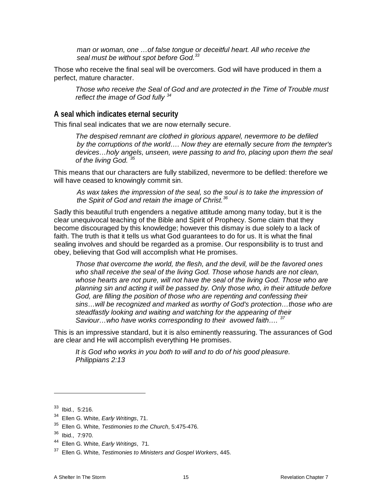*man or woman, one …of false tongue or deceitful heart. All who receive the seal must be without spot before God.[33](#page-14-1)*

Those who receive the final seal will be overcomers. God will have produced in them a perfect, mature character.

*Those who receive the Seal of God and are protected in the Time of Trouble must reflect the image of God fully [34](#page-14-2)* 

### <span id="page-14-0"></span>**A seal which indicates eternal security**

This final seal indicates that we are now eternally secure.

*The despised remnant are clothed in glorious apparel, nevermore to be defiled by the corruptions of the world…. Now they are eternally secure from the tempter's devices…holy angels, unseen, were passing to and fro, placing upon them the seal of the living God. [35](#page-14-3)*

This means that our characters are fully stabilized, nevermore to be defiled: therefore we will have ceased to knowingly commit sin.

*As wax takes the impression of the seal, so the soul is to take the impression of the Spirit of God and retain the image of Christ.[36](#page-14-4)*

Sadly this beautiful truth engenders a negative attitude among many today, but it is the clear unequivocal teaching of the Bible and Spirit of Prophecy. Some claim that they become discouraged by this knowledge; however this dismay is due solely to a lack of faith. The truth is that it tells us what God guarantees to do for us. It is what the final sealing involves and should be regarded as a promise. Our responsibility is to trust and obey, believing that God will accomplish what He promises.

*Those that overcome the world, the flesh, and the devil, will be the favored ones*  who shall receive the seal of the living God. Those whose hands are not clean, whose hearts are not pure, will not have the seal of the living God. Those who are *planning sin and acting it will be passed by. Only those who, in their attitude before God, are filling the position of those who are repenting and confessing their sins…will be recognized and marked as worthy of God's protection…those who are steadfastly looking and waiting and watching for the appearing of their Saviour…who have works corresponding to their avowed faith…. [37](#page-14-5)*

This is an impressive standard, but it is also eminently reassuring. The assurances of God are clear and He will accomplish everything He promises.

*It is God who works in you both to will and to do of his good pleasure. Philippians 2:13*

<span id="page-14-1"></span><sup>33</sup> Ibid., 5:216.

<span id="page-14-2"></span><sup>34</sup> Ellen G. White, *Early Writings*, 71.

<span id="page-14-3"></span><sup>35</sup> Ellen G. White, *Testimonies to the Church*, 5:475-476.

<span id="page-14-4"></span><sup>36</sup> Ibid., 7:970.

<span id="page-14-5"></span><sup>44</sup> Ellen G. White, *Early Writings*, 71.

<sup>37</sup> Ellen G. White, *Testimonies to Ministers and Gospel Workers*, 445.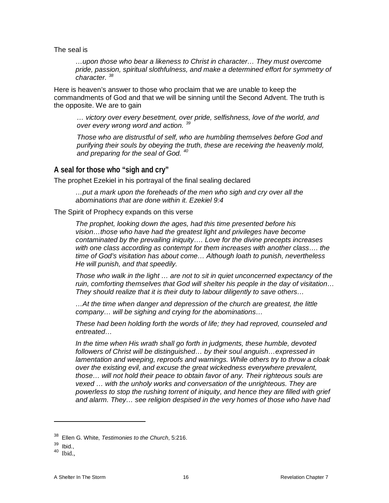The seal is

*…upon those who bear a likeness to Christ in character… They must overcome pride, passion, spiritual slothfulness, and make a determined effort for symmetry of character. [38](#page-15-1)*

Here is heaven's answer to those who proclaim that we are unable to keep the commandments of God and that we will be sinning until the Second Advent. The truth is the opposite. We are to gain

*… victory over every besetment, over pride, selfishness, love of the world, and over every wrong word and action. [39](#page-15-2)*

*Those who are distrustful of self, who are humbling themselves before God and purifying their souls by obeying the truth, these are receiving the heavenly mold, and preparing for the seal of God. [40](#page-15-3)*

### <span id="page-15-0"></span>**A seal for those who "sigh and cry"**

The prophet Ezekiel in his portrayal of the final sealing declared

*…put a mark upon the foreheads of the men who sigh and cry over all the abominations that are done within it. Ezekiel 9:4*

The Spirit of Prophecy expands on this verse

*The prophet, looking down the ages, had this time presented before his vision…those who have had the greatest light and privileges have become contaminated by the prevailing iniquity…. Love for the divine precepts increases with one class according as contempt for them increases with another class…. the time of God's visitation has about come… Although loath to punish, nevertheless He will punish, and that speedily.* 

*Those who walk in the light … are not to sit in quiet unconcerned expectancy of the ruin, comforting themselves that God will shelter his people in the day of visitation… They should realize that it is their duty to labour diligently to save others…*

*…At the time when danger and depression of the church are greatest, the little company… will be sighing and crying for the abominations…* 

*These had been holding forth the words of life; they had reproved, counseled and entreated…* 

*In the time when His wrath shall go forth in judgments, these humble, devoted followers of Christ will be distinguished… by their soul anguish…expressed in lamentation and weeping, reproofs and warnings. While others try to throw a cloak over the existing evil, and excuse the great wickedness everywhere prevalent, those… will not hold their peace to obtain favor of any. Their righteous souls are vexed … with the unholy works and conversation of the unrighteous. They are powerless to stop the rushing torrent of iniquity, and hence they are filled with grief and alarm. They… see religion despised in the very homes of those who have had* 

-

<span id="page-15-3"></span><sup>40</sup> Ibid.,

<span id="page-15-1"></span><sup>38</sup> Ellen G. White, *Testimonies to the Church*, 5:216.

<span id="page-15-2"></span> $39$  Ibid.,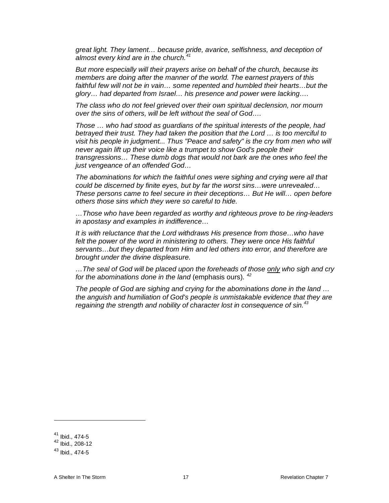*great light. They lament… because pride, avarice, selfishness, and deception of almost every kind are in the church.[41](#page-16-0)*

*But more especially will their prayers arise on behalf of the church, because its members are doing after the manner of the world. The earnest prayers of this faithful few will not be in vain… some repented and humbled their hearts…but the glory… had departed from Israel… his presence and power were lacking….* 

*The class who do not feel grieved over their own spiritual declension, nor mourn over the sins of others, will be left without the seal of God….* 

*Those … who had stood as guardians of the spiritual interests of the people, had betrayed their trust. They had taken the position that the Lord … is too merciful to visit his people in judgment... Thus "Peace and safety" is the cry from men who will never again lift up their voice like a trumpet to show God's people their transgressions… These dumb dogs that would not bark are the ones who feel the just vengeance of an offended God…*

*The abominations for which the faithful ones were sighing and crying were all that could be discerned by finite eyes, but by far the worst sins…were unrevealed… These persons came to feel secure in their deceptions… But He will… open before others those sins which they were so careful to hide.*

*…Those who have been regarded as worthy and righteous prove to be ring-leaders in apostasy and examples in indifference…*

*It is with reluctance that the Lord withdraws His presence from those…who have*  felt the power of the word in ministering to others. They were once His faithful *servants…but they departed from Him and led others into error, and therefore are brought under the divine displeasure.* 

*…The seal of God will be placed upon the foreheads of those only who sigh and cry for the abominations done in the land* (emphasis ours). *[42](#page-16-1)*

*The people of God are sighing and crying for the abominations done in the land … the anguish and humiliation of God's people is unmistakable evidence that they are regaining the strength and nobility of character lost in consequence of sin.[43](#page-16-2)*

<span id="page-16-0"></span><sup>41</sup> Ibid., 474-5

<span id="page-16-1"></span><sup>42</sup> Ibid., 208-12

<span id="page-16-2"></span> $43$  Ibid., 474-5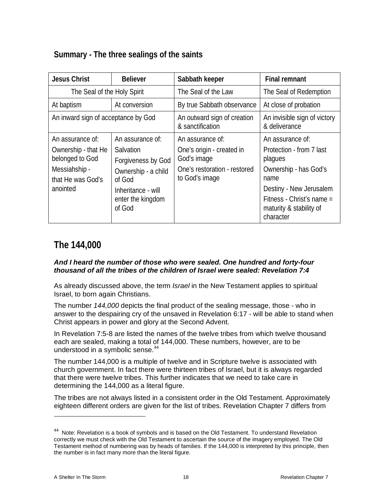# <span id="page-17-0"></span>**Summary - The three sealings of the saints**

| <b>Jesus Christ</b>                                                                                          | <b>Believer</b>                                                                                                                           | Sabbath keeper                                                                                                 | <b>Final remnant</b>                                                                                                                                                                     |
|--------------------------------------------------------------------------------------------------------------|-------------------------------------------------------------------------------------------------------------------------------------------|----------------------------------------------------------------------------------------------------------------|------------------------------------------------------------------------------------------------------------------------------------------------------------------------------------------|
| The Seal of the Holy Spirit                                                                                  |                                                                                                                                           | The Seal of the Law                                                                                            | The Seal of Redemption                                                                                                                                                                   |
| At baptism                                                                                                   | At conversion                                                                                                                             | By true Sabbath observance                                                                                     | At close of probation                                                                                                                                                                    |
| An inward sign of acceptance by God                                                                          |                                                                                                                                           | An outward sign of creation<br>& sanctification                                                                | An invisible sign of victory<br>& deliverance                                                                                                                                            |
| An assurance of:<br>Ownership - that He<br>belonged to God<br>Messiahship -<br>that He was God's<br>anointed | An assurance of:<br>Salvation<br>Forgiveness by God<br>Ownership - a child<br>of God<br>Inheritance - will<br>enter the kingdom<br>of God | An assurance of:<br>One's origin - created in<br>God's image<br>One's restoration - restored<br>to God's image | An assurance of:<br>Protection - from 7 last<br>plagues<br>Ownership - has God's<br>name<br>Destiny - New Jerusalem<br>Fitness - Christ's name =<br>maturity & stability of<br>character |

# <span id="page-17-1"></span>**The 144,000**

### *And I heard the number of those who were sealed. One hundred and forty-four thousand of all the tribes of the children of Israel were sealed: Revelation 7:4*

As already discussed above, the term *Israel* in the New Testament applies to spiritual Israel, to born again Christians.

The number *144,000* depicts the final product of the sealing message, those - who in answer to the despairing cry of the unsaved in Revelation 6:17 - will be able to stand when Christ appears in power and glory at the Second Advent.

In Revelation 7:5-8 are listed the names of the twelve tribes from which twelve thousand each are sealed, making a total of 144,000. These numbers, however, are to be understood in a symbolic sense.<sup>[44](#page-17-2)</sup>

The number 144,000 is a multiple of twelve and in Scripture twelve is associated with church government. In fact there were thirteen tribes of Israel, but it is always regarded that there were twelve tribes. This further indicates that we need to take care in determining the 144,000 as a literal figure.

The tribes are not always listed in a consistent order in the Old Testament. Approximately eighteen different orders are given for the list of tribes. Revelation Chapter 7 differs from

<span id="page-17-2"></span><sup>&</sup>lt;sup>44</sup> Note: Revelation is a book of symbols and is based on the Old Testament. To understand Revelation correctly we must check with the Old Testament to ascertain the source of the imagery employed. The Old Testament method of numbering was by heads of families. If the 144,000 is interpreted by this principle, then the number is in fact many more than the literal figure.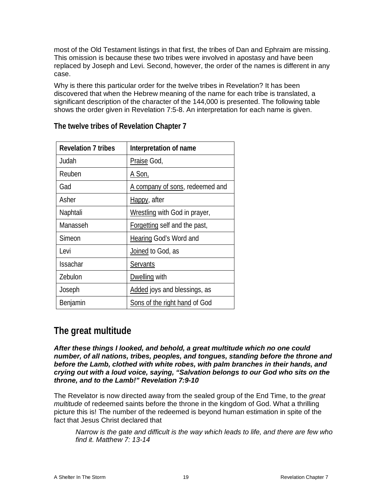most of the Old Testament listings in that first, the tribes of Dan and Ephraim are missing. This omission is because these two tribes were involved in apostasy and have been replaced by Joseph and Levi. Second, however, the order of the names is different in any case.

Why is there this particular order for the twelve tribes in Revelation? It has been discovered that when the Hebrew meaning of the name for each tribe is translated, a significant description of the character of the 144,000 is presented. The following table shows the order given in Revelation 7:5-8. An interpretation for each name is given.

| <b>Revelation 7 tribes</b> | Interpretation of name          |
|----------------------------|---------------------------------|
| Judah                      | Praise God,                     |
| Reuben                     | <u>A Son, </u>                  |
| Gad                        | A company of sons, redeemed and |
| Asher                      | Happy, after                    |
| Naphtali                   | Wrestling with God in prayer,   |
| Manasseh                   | Forgetting self and the past,   |
| Simeon                     | <b>Hearing God's Word and</b>   |
| Levi                       | Joined to God, as               |
| <b>Issachar</b>            | <b>Servants</b>                 |
| Zebulon                    | Dwelling with                   |
| Joseph                     | Added joys and blessings, as    |
| Benjamin                   | Sons of the right hand of God   |

<span id="page-18-0"></span>**The twelve tribes of Revelation Chapter 7**

# <span id="page-18-1"></span>**The great multitude**

*After these things I looked, and behold, a great multitude which no one could number, of all nations, tribes, peoples, and tongues, standing before the throne and before the Lamb, clothed with white robes, with palm branches in their hands, and crying out with a loud voice, saying, "Salvation belongs to our God who sits on the throne, and to the Lamb!" Revelation 7:9-10*

The Revelator is now directed away from the sealed group of the End Time, to the *great multitude* of redeemed saints before the throne in the kingdom of God. What a thrilling picture this is! The number of the redeemed is beyond human estimation in spite of the fact that Jesus Christ declared that

*Narrow is the gate and difficult is the way which leads to life, and there are few who find it. Matthew 7: 13-14*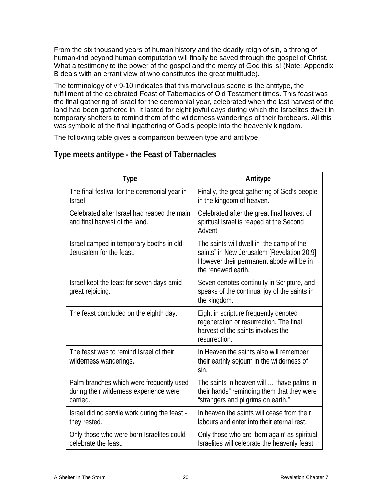From the six thousand years of human history and the deadly reign of sin, a throng of humankind beyond human computation will finally be saved through the gospel of Christ. What a testimony to the power of the gospel and the mercy of God this is! (Note: Appendix B deals with an errant view of who constitutes the great multitude).

The terminology of v 9-10 indicates that this marvellous scene is the antitype, the fulfillment of the celebrated Feast of Tabernacles of Old Testament times. This feast was the final gathering of Israel for the ceremonial year, celebrated when the last harvest of the land had been gathered in. It lasted for eight joyful days during which the Israelites dwelt in temporary shelters to remind them of the wilderness wanderings of their forebears. All this was symbolic of the final ingathering of God's people into the heavenly kingdom.

The following table gives a comparison between type and antitype.

| <b>Type</b>                                                                                     | Antitype                                                                                                                                                  |
|-------------------------------------------------------------------------------------------------|-----------------------------------------------------------------------------------------------------------------------------------------------------------|
| The final festival for the ceremonial year in<br><b>Israel</b>                                  | Finally, the great gathering of God's people<br>in the kingdom of heaven.                                                                                 |
| Celebrated after Israel had reaped the main<br>and final harvest of the land.                   | Celebrated after the great final harvest of<br>spiritual Israel is reaped at the Second<br>Advent.                                                        |
| Israel camped in temporary booths in old<br>Jerusalem for the feast.                            | The saints will dwell in "the camp of the<br>saints" in New Jerusalem [Revelation 20:9]<br>However their permanent abode will be in<br>the renewed earth. |
| Israel kept the feast for seven days amid<br>great rejoicing.                                   | Seven denotes continuity in Scripture, and<br>speaks of the continual joy of the saints in<br>the kingdom.                                                |
| The feast concluded on the eighth day.                                                          | Eight in scripture frequently denoted<br>regeneration or resurrection. The final<br>harvest of the saints involves the<br>resurrection.                   |
| The feast was to remind Israel of their<br>wilderness wanderings.                               | In Heaven the saints also will remember<br>their earthly sojourn in the wilderness of<br>sin.                                                             |
| Palm branches which were frequently used<br>during their wilderness experience were<br>carried. | The saints in heaven will  "have palms in<br>their hands" reminding them that they were<br>"strangers and pilgrims on earth."                             |
| Israel did no servile work during the feast -<br>they rested.                                   | In heaven the saints will cease from their<br>labours and enter into their eternal rest.                                                                  |
| Only those who were born Israelites could<br>celebrate the feast.                               | Only those who are 'born again' as spiritual<br>Israelites will celebrate the heavenly feast.                                                             |

# <span id="page-19-0"></span>**Type meets antitype - the Feast of Tabernacles**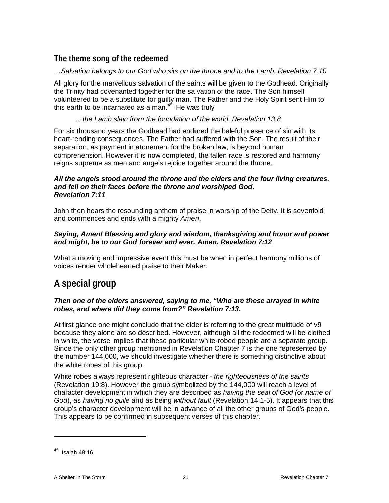# <span id="page-20-0"></span>**The theme song of the redeemed**

# *…Salvation belongs to our God who sits on the throne and to the Lamb. Revelation 7:10*

All glory for the marvellous salvation of the saints will be given to the Godhead. Originally the Trinity had covenanted together for the salvation of the race. The Son himself volunteered to be a substitute for guilty man. The Father and the Holy Spirit sent Him to this earth to be incarnated as a man. $45$  He was truly

# *…the Lamb slain from the foundation of the world. Revelation 13:8*

For six thousand years the Godhead had endured the baleful presence of sin with its heart-rending consequences. The Father had suffered with the Son. The result of their separation, as payment in atonement for the broken law, is beyond human comprehension. However it is now completed, the fallen race is restored and harmony reigns supreme as men and angels rejoice together around the throne.

### *All the angels stood around the throne and the elders and the four living creatures, and fell on their faces before the throne and worshiped God. Revelation 7:11*

John then hears the resounding anthem of praise in worship of the Deity. It is sevenfold and commences and ends with a mighty *Amen*.

### *Saying, Amen! Blessing and glory and wisdom, thanksgiving and honor and power and might, be to our God forever and ever. Amen. Revelation 7:12*

What a moving and impressive event this must be when in perfect harmony millions of voices render wholehearted praise to their Maker.

# <span id="page-20-1"></span>**A special group**

### *Then one of the elders answered, saying to me, "Who are these arrayed in white robes, and where did they come from?" Revelation 7:13.*

At first glance one might conclude that the elder is referring to the great multitude of v9 because they alone are so described. However, although all the redeemed will be clothed in white, the verse implies that these particular white-robed people are a separate group. Since the only other group mentioned in Revelation Chapter 7 is the one represented by the number 144,000, we should investigate whether there is something distinctive about the white robes of this group.

White robes always represent righteous character - *the righteousness of the saints* (Revelation 19:8). However the group symbolized by the 144,000 will reach a level of character development in which they are described as *having the seal of God (*or *name of God*), as *having no guile* and as being *without fault* (Revelation 14:1-5). It appears that this group's character development will be in advance of all the other groups of God's people. This appears to be confirmed in subsequent verses of this chapter.

<span id="page-20-2"></span> $45$  Isaiah 48:16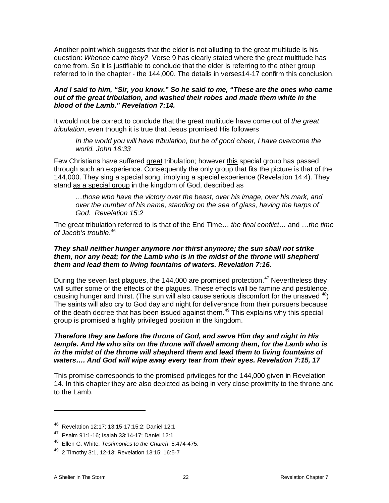Another point which suggests that the elder is not alluding to the great multitude is his question: *Whence came they?* Verse 9 has clearly stated where the great multitude has come from. So it is justifiable to conclude that the elder is referring to the other group referred to in the chapter - the 144,000. The details in verses14-17 confirm this conclusion.

### *And I said to him, "Sir, you know." So he said to me, "These are the ones who came out of the great tribulation, and washed their robes and made them white in the blood of the Lamb." Revelation 7:14.*

It would not be correct to conclude that the great multitude have come out of *the great tribulation*, even though it is true that Jesus promised His followers

*In the world you will have tribulation, but be of good cheer, I have overcome the world. John 16:33*

Few Christians have suffered great tribulation; however this special group has passed through such an experience. Consequently the only group that fits the picture is that of the 144,000. They sing a special song, implying a special experience (Revelation 14:4). They stand as a special group in the kingdom of God, described as

*…those who have the victory over the beast, over his image, over his mark, and over the number of his name, standing on the sea of glass, having the harps of God. Revelation 15:2*

The great tribulation referred to is that of the End Time… *the final conflict*… and …*the time of Jacob's trouble*. [46](#page-21-0)

### *They shall neither hunger anymore nor thirst anymore; the sun shall not strike them, nor any heat; for the Lamb who is in the midst of the throne will shepherd them and lead them to living fountains of waters. Revelation 7:16.*

During the seven last plagues, the 144,000 are promised protection.<sup>[47](#page-21-1)</sup> Nevertheless they will suffer some of the effects of the plagues. These effects will be famine and pestilence, causing hunger and thirst. (The sun will also cause serious discomfort for the unsaved  $48$ ) The saints will also cry to God day and night for deliverance from their pursuers because of the death decree that has been issued against them.<sup>[49](#page-21-3)</sup> This explains why this special group is promised a highly privileged position in the kingdom.

### *Therefore they are before the throne of God, and serve Him day and night in His temple. And He who sits on the throne will dwell among them, for the Lamb who is in the midst of the throne will shepherd them and lead them to living fountains of waters…. And God will wipe away every tear from their eyes. Revelation 7:15, 17*

This promise corresponds to the promised privileges for the 144,000 given in Revelation 14. In this chapter they are also depicted as being in very close proximity to the throne and to the Lamb.

<span id="page-21-0"></span><sup>46</sup> Revelation 12:17; 13:15-17;15:2; Daniel 12:1

<span id="page-21-1"></span><sup>47</sup> Psalm 91:1-16; Isaiah 33:14-17; Daniel 12:1

<span id="page-21-2"></span><sup>48</sup> Ellen G. White, *Testimonies to the Church*, 5:474-475.

<span id="page-21-3"></span> $49$  2 Timothy 3:1, 12-13; Revelation 13:15; 16:5-7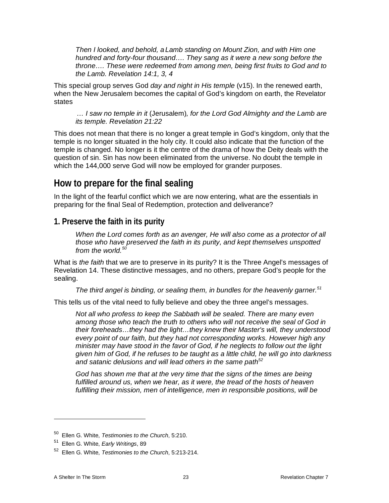*Then I looked, and behold, a Lamb standing on Mount Zion, and with Him one hundred and forty-four thousand…. They sang as it were a new song before the throne…. These were redeemed from among men, being first fruits to God and to the Lamb. Revelation 14:1, 3, 4*

This special group serves God *day and night in His temple* (v15). In the renewed earth, when the New Jerusalem becomes the capital of God's kingdom on earth, the Revelator states

*… I saw no temple in it* (Jerusalem)*, for the Lord God Almighty and the Lamb are its temple. Revelation 21:22*

This does not mean that there is no longer a great temple in God's kingdom, only that the temple is no longer situated in the holy city. It could also indicate that the function of the temple is changed. No longer is it the centre of the drama of how the Deity deals with the question of sin. Sin has now been eliminated from the universe. No doubt the temple in which the 144,000 serve God will now be employed for grander purposes.

# <span id="page-22-0"></span>**How to prepare for the final sealing**

In the light of the fearful conflict which we are now entering, what are the essentials in preparing for the final Seal of Redemption, protection and deliverance?

# <span id="page-22-1"></span>**1. Preserve the faith in its purity**

*When the Lord comes forth as an avenger, He will also come as a protector of all those who have preserved the faith in its purity, and kept themselves unspotted from the world.[50](#page-22-2)*

What is *the faith* that we are to preserve in its purity? It is the Three Angel's messages of Revelation 14. These distinctive messages, and no others, prepare God's people for the sealing.

*The third angel is binding, or sealing them, in bundles for the heavenly garner.[51](#page-22-3)* 

This tells us of the vital need to fully believe and obey the three angel's messages.

*Not all who profess to keep the Sabbath will be sealed. There are many even among those who teach the truth to others who will not receive the seal of God in their foreheads…they had the light…they knew their Master's will, they understood every point of our faith, but they had not corresponding works. However high any minister may have stood in the favor of God, if he neglects to follow out the light given him of God, if he refuses to be taught as a little child, he will go into darkness and satanic delusions and will lead others in the same path[52](#page-22-4)*

*God has shown me that at the very time that the signs of the times are being fulfilled around us, when we hear, as it were, the tread of the hosts of heaven fulfilling their mission, men of intelligence, men in responsible positions, will be* 

<sup>50</sup> Ellen G. White, *Testimonies to the Church*, 5:210.

<span id="page-22-3"></span><span id="page-22-2"></span><sup>51</sup> Ellen G. White, *Early Writings*, 89

<span id="page-22-4"></span><sup>52</sup> Ellen G. White, *Testimonies to the Church*, 5:213-214.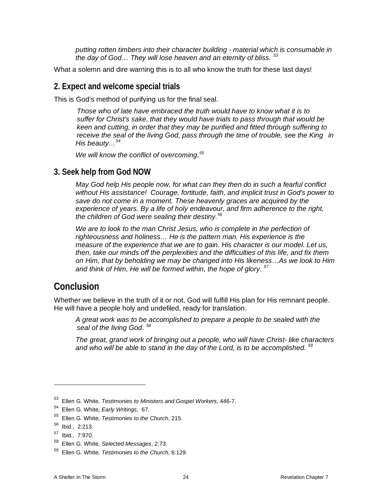*putting rotten timbers into their character building - material which is consumable in the day of God… They will lose heaven and an eternity of bliss. [53](#page-23-3)*

What a solemn and dire warning this is to all who know the truth for these last days!

# <span id="page-23-0"></span>**2. Expect and welcome special trials**

This is God's method of purifying us for the final seal.

*Those who of late have embraced the truth would have to know what it is to suffer for Christ's sake, that they would have trials to pass through that would be keen and cutting, in order that they may be purified and fitted through suffering to receive the seal of the living God, pass through the time of trouble, see the King in His beauty…[54](#page-23-4)*

*We will know the conflict of overcoming.[55](#page-23-5)* 

# <span id="page-23-1"></span>**3. Seek help from God NOW**

*May God help His people now, for what can they then do in such a fearful conflict without His assistance! Courage, fortitude, faith, and implicit trust in God's power to save do not come in a moment. These heavenly graces are acquired by the experience of years. By a life of holy endeavour, and firm adherence to the right, the children of God were sealing their destiny.[56](#page-23-6)*

*We are to look to the man Christ Jesus, who is complete in the perfection of righteousness and holiness… He is the pattern man. His experience is the measure of the experience that we are to gain. His character is our model. Let us, then, take our minds off the perplexities and the difficulties of this life, and fix them on Him, that by beholding we may be changed into His likeness…As we look to Him and think of Him, He will be formed within, the hope of glory. [57](#page-23-7)*

# <span id="page-23-2"></span>**Conclusion**

Whether we believe in the truth of it or not, God will fulfill His plan for His remnant people. He will have a people holy and undefiled, ready for translation.

*A great work was to be accomplished to prepare a people to be sealed with the seal of the living God. [58](#page-23-8)*

*The great, grand work of bringing out a people, who will have Christ- like characters and who will be able to stand in the day of the Lord, is to be accomplished. [59](#page-23-9)*

<span id="page-23-3"></span><sup>53</sup> Ellen G. White, *Testimonies to Ministers and Gospel Workers*, 446-7.

<span id="page-23-4"></span><sup>54</sup> Ellen G. White, *Early Writings*, 67.

<span id="page-23-5"></span><sup>55</sup> Ellen G. White, *Testimonies to the Church*, 215.

<span id="page-23-6"></span><sup>56</sup> Ibid., 2:213.

<span id="page-23-7"></span><sup>57</sup> Ibid., 7:970.

<span id="page-23-8"></span><sup>58</sup> Ellen G. White, *Selected Messages*, 2:73.

<span id="page-23-9"></span><sup>59</sup> Ellen G. White, *Testimonies to the Church*, 6:129.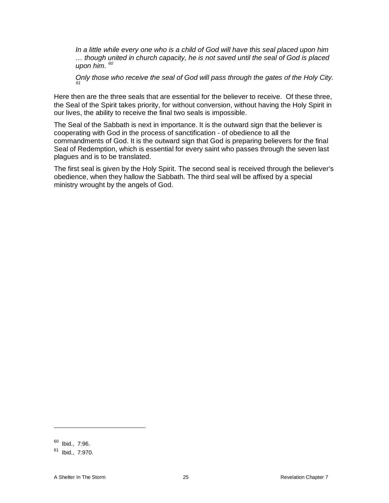*In a little while every one who is a child of God will have this seal placed upon him … though united in church capacity, he is not saved until the seal of God is placed upon him. [60](#page-24-0)*

*Only those who receive the seal of God will pass through the gates of the Holy City. [61](#page-24-1)*

Here then are the three seals that are essential for the believer to receive. Of these three, the Seal of the Spirit takes priority, for without conversion, without having the Holy Spirit in our lives, the ability to receive the final two seals is impossible.

The Seal of the Sabbath is next in importance. It is the outward sign that the believer is cooperating with God in the process of sanctification - of obedience to all the commandments of God. It is the outward sign that God is preparing believers for the final Seal of Redemption, which is essential for every saint who passes through the seven last plagues and is to be translated.

The first seal is given by the Holy Spirit. The second seal is received through the believer's obedience, when they hallow the Sabbath. The third seal will be affixed by a special ministry wrought by the angels of God.

<span id="page-24-0"></span> $60$  Ibid., 7:96.

<span id="page-24-1"></span> $61$  Ibid., 7:970.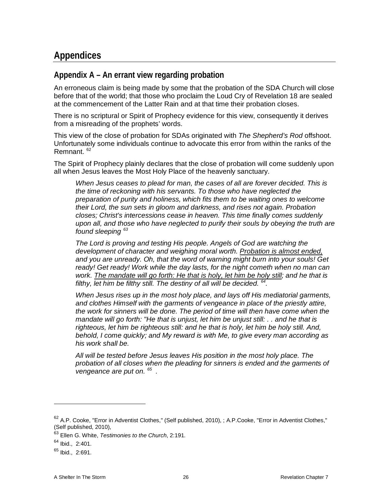# <span id="page-25-0"></span>**Appendices**

# <span id="page-25-1"></span>**Appendix A – An errant view regarding probation**

An erroneous claim is being made by some that the probation of the SDA Church will close before that of the world; that those who proclaim the Loud Cry of Revelation 18 are sealed at the commencement of the Latter Rain and at that time their probation closes.

There is no scriptural or Spirit of Prophecy evidence for this view, consequently it derives from a misreading of the prophets' words.

This view of the close of probation for SDAs originated with *The Shepherd's Rod* offshoot. Unfortunately some individuals continue to advocate this error from within the ranks of the Remnant. [62](#page-25-2)

The Spirit of Prophecy plainly declares that the close of probation will come suddenly upon all when Jesus leaves the Most Holy Place of the heavenly sanctuary.

*When Jesus ceases to plead for man, the cases of all are forever decided. This is the time of reckoning with his servants. To those who have neglected the preparation of purity and holiness, which fits them to be waiting ones to welcome their Lord, the sun sets in gloom and darkness, and rises not again. Probation closes; Christ's intercessions cease in heaven. This time finally comes suddenly upon all, and those who have neglected to purify their souls by obeying the truth are found sleeping [63](#page-25-3)*

*The Lord is proving and testing His people. Angels of God are watching the development of character and weighing moral worth. Probation is almost ended, and you are unready. Oh, that the word of warning might burn into your souls! Get ready! Get ready! Work while the day lasts, for the night cometh when no man can work. The mandate will go forth: He that is holy, let him be holy still; and he that is filthy, let him be filthy still. The destiny of all will be decided. [64](#page-25-4).*

*When Jesus rises up in the most holy place, and lays off His mediatorial garments, and clothes Himself with the garments of vengeance in place of the priestly attire, the work for sinners will be done. The period of time will then have come when the mandate will go forth: "He that is unjust, let him be unjust still: . . and he that is righteous, let him be righteous still: and he that is holy, let him be holy still. And, behold, I come quickly; and My reward is with Me, to give every man according as his work shall be.*

*All will be tested before Jesus leaves His position in the most holy place. The probation of all closes when the pleading for sinners is ended and the garments of vengeance are put on. [65](#page-25-5) .*

<span id="page-25-2"></span> $62$  A.P. Cooke, "Error in Adventist Clothes," (Self published, 2010), ; A.P. Cooke, "Error in Adventist Clothes," (Self published, 2010),

<span id="page-25-3"></span><sup>63</sup> Ellen G. White, *Testimonies to the Church*, 2:191.

<span id="page-25-4"></span><sup>&</sup>lt;sup>64</sup> Ibid., 2:401.

<span id="page-25-5"></span> $65$  Ibid., 2:691.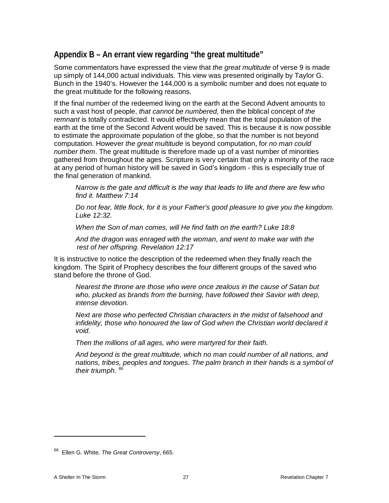# <span id="page-26-0"></span>**Appendix B – An errant view regarding "the great multitude"**

Some commentators have expressed the view that *the great multitude* of verse 9 is made up simply of 144,000 actual individuals. This view was presented originally by Taylor G. Bunch in the 1940's. However the 144,000 is a symbolic number and does not equate to the great multitude for the following reasons.

If the final number of the redeemed living on the earth at the Second Advent amounts to such a vast host of people, *that cannot be numbered,* then the biblical concept of *the remnant* is totally contradicted. It would effectively mean that the total population of the earth at the time of the Second Advent would be saved. This is because it is now possible to estimate the approximate population of the globe, so that the number is not beyond computation. However *the great multitude* is beyond computation, for *no man could number them*. The great multitude is therefore made up of a vast number of minorities gathered from throughout the ages. Scripture is very certain that only a minority of the race at any period of human history will be saved in God's kingdom - this is especially true of the final generation of mankind.

*Narrow is the gate and difficult is the way that leads to life and there are few who find it. Matthew 7:14*

*Do not fear, little flock, for it is your Father's good pleasure to give you the kingdom. Luke 12:32.*

*When the Son of man comes, will He find faith on the earth? Luke 18:8*

*And the dragon was enraged with the woman, and went to make war with the rest of her offspring. Revelation 12:17*

It is instructive to notice the description of the redeemed when they finally reach the kingdom. The Spirit of Prophecy describes the four different groups of the saved who stand before the throne of God.

*Nearest the throne are those who were once zealous in the cause of Satan but who, plucked as brands from the burning, have followed their Savior with deep, intense devotion.*

*Next are those who perfected Christian characters in the midst of falsehood and infidelity, those who honoured the law of God when the Christian world declared it void.*

*Then the millions of all ages, who were martyred for their faith.*

*And beyond is the great multitude, which no man could number of all nations, and nations, tribes, peoples and tongues. The palm branch in their hands is a symbol of their triumph. [66](#page-26-1)* 

<span id="page-26-1"></span><sup>66</sup> Ellen G. White, *The Great Controversy*, 665.